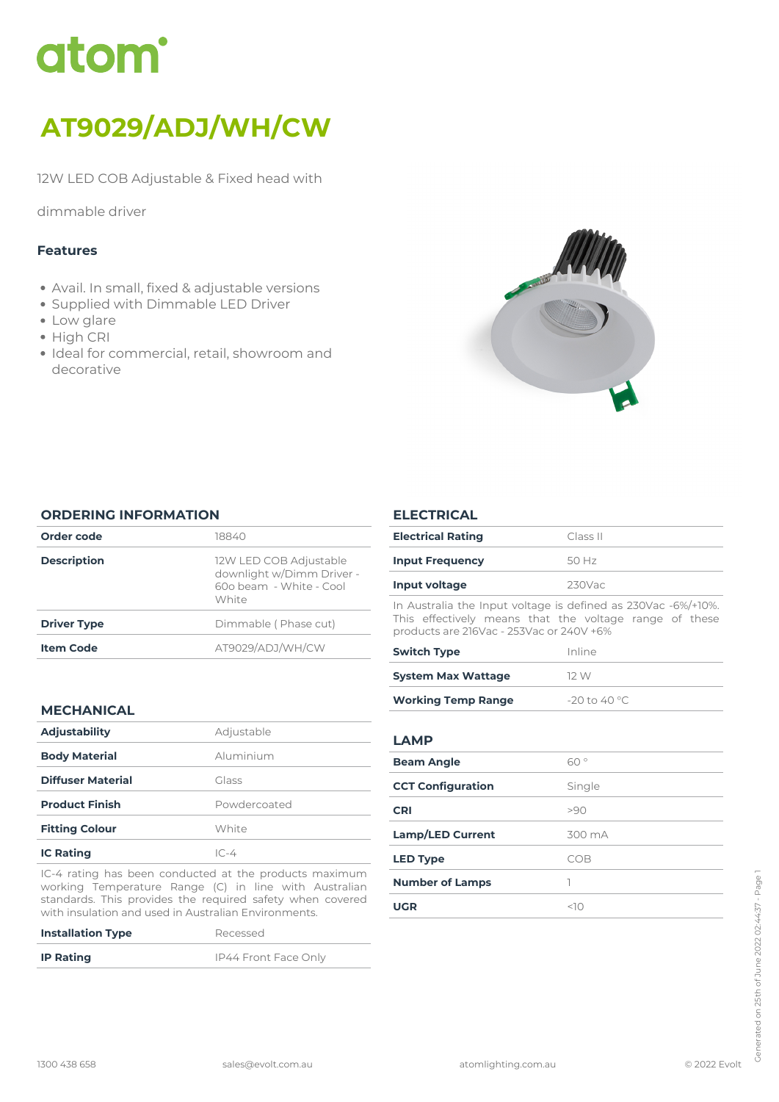# atom<sup>\*</sup>

# *AT9029/ADJ/WH/CW*

*12W LED COB Adjustable & Fixed head with*

*dimmable driver*

# *Features*

- *Avail. In small, fixed & adjustable versions*
- *Supplied with Dimmable LED Driver*
- *Low glare*
- *High CRI*
- *Ideal for commercial, retail, showroom and decorative*



#### *ORDERING INFORMATION*

| Order code         | 18840                                                                                   |
|--------------------|-----------------------------------------------------------------------------------------|
| <b>Description</b> | 12W LED COB Adjustable<br>downlight w/Dimm Driver -<br>600 beam - White - Cool<br>White |
| <b>Driver Type</b> | Dimmable (Phase cut)                                                                    |
| <b>Item Code</b>   | AT9029/ADJ/WH/CW                                                                        |
|                    |                                                                                         |

# *MECHANICAL*

| <b>Adjustability</b>     | Adjustable   |
|--------------------------|--------------|
| <b>Body Material</b>     | Aluminium    |
| <b>Diffuser Material</b> | Glass        |
| <b>Product Finish</b>    | Powdercoated |
| <b>Fitting Colour</b>    | White        |
| <b>IC Rating</b>         | $IC-4$       |

*IC-4 rating has been conducted at the products maximum working Temperature Range (C) in line with Australian standards. This provides the required safety when covered with insulation and used in Australian Environments.*

| <b>Installation Type</b> | Recessed             |
|--------------------------|----------------------|
| <b>IP Rating</b>         | IP44 Front Face Only |

# *ELECTRICAL*

| <b>Electrical Rating</b>                                                                                                                                            | Class II  |
|---------------------------------------------------------------------------------------------------------------------------------------------------------------------|-----------|
| <b>Input Frequency</b>                                                                                                                                              | 50 Hz     |
| Input voltage                                                                                                                                                       | $230$ Vac |
| In Australia the Input voltage is defined as 230Vac -6%/+10%.<br>This effectively means that the voltage range of these<br>products are 216Vac - 253Vac or 240V +6% |           |
| <b>Switch Type</b>                                                                                                                                                  | Inline    |
| <b>System Max Wattage</b>                                                                                                                                           | 12 W      |

| <b>Working Temp Range</b> | $-20$ to 40 °C |  |
|---------------------------|----------------|--|
|                           |                |  |

# *LAMP*

| <b>Beam Angle</b>        | 60°    |
|--------------------------|--------|
| <b>CCT Configuration</b> | Single |
| <b>CRI</b>               | >90    |
| <b>Lamp/LED Current</b>  | 300 mA |
| <b>LED Type</b>          | COB    |
| <b>Number of Lamps</b>   |        |
| <b>UGR</b>               | <10    |
|                          |        |